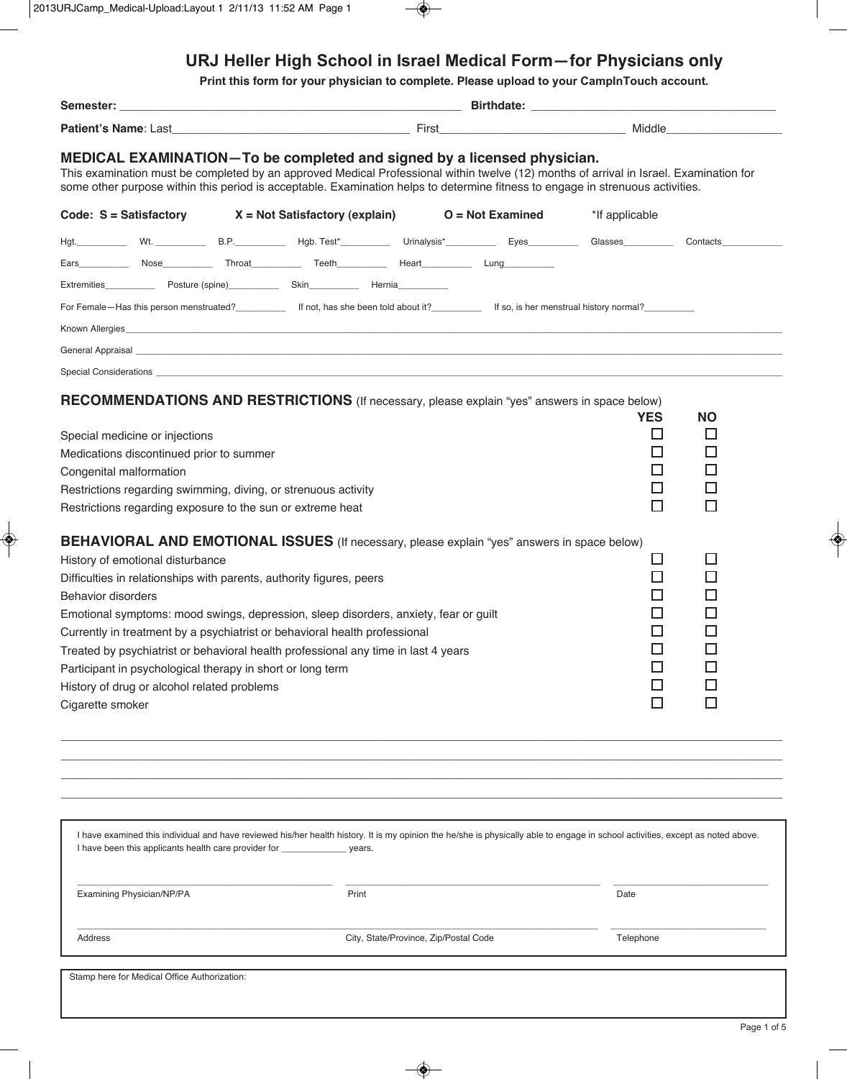# URJ Heller High School in Israel Medical Form-for Physicians only

Print this form for your physician to complete. Please upload to your CamplnTouch account.

| Semester:                                     |                                                                                                                                                              |  | <b>Birthdate: Example 2018</b>                                                                                                                                                                                                                                                                                                                                                                                                         |                                                                                                                                                                                                                                         |  |                                                                                        |                                                                              |  |
|-----------------------------------------------|--------------------------------------------------------------------------------------------------------------------------------------------------------------|--|----------------------------------------------------------------------------------------------------------------------------------------------------------------------------------------------------------------------------------------------------------------------------------------------------------------------------------------------------------------------------------------------------------------------------------------|-----------------------------------------------------------------------------------------------------------------------------------------------------------------------------------------------------------------------------------------|--|----------------------------------------------------------------------------------------|------------------------------------------------------------------------------|--|
|                                               |                                                                                                                                                              |  |                                                                                                                                                                                                                                                                                                                                                                                                                                        | <b>Patient's Name:</b> Last <b>Example 2018 Contract Contract Contract Contract Contract Contract Contract Contract Contract Contract Contract Contract Contract Contract Contract Contract Contract Contract Contract Contract Con</b> |  |                                                                                        |                                                                              |  |
|                                               |                                                                                                                                                              |  | MEDICAL EXAMINATION-To be completed and signed by a licensed physician.<br>This examination must be completed by an approved Medical Professional within twelve (12) months of arrival in Israel. Examination for<br>some other purpose within this period is acceptable. Examination helps to determine fitness to engage in strenuous activities.                                                                                    |                                                                                                                                                                                                                                         |  |                                                                                        |                                                                              |  |
|                                               |                                                                                                                                                              |  | Code: $S = S$ atisfactory $X = Not S$ atisfactory (explain) $O = Not Examine$                                                                                                                                                                                                                                                                                                                                                          |                                                                                                                                                                                                                                         |  | *If applicable                                                                         |                                                                              |  |
|                                               |                                                                                                                                                              |  | Hgt. __________ Wt. ____________ B.P. _________ Hgb. Test*_________ Urinalysis*_________ Eyes_________ Glasses__________ Contacts_______                                                                                                                                                                                                                                                                                               |                                                                                                                                                                                                                                         |  |                                                                                        |                                                                              |  |
|                                               |                                                                                                                                                              |  |                                                                                                                                                                                                                                                                                                                                                                                                                                        |                                                                                                                                                                                                                                         |  |                                                                                        |                                                                              |  |
|                                               |                                                                                                                                                              |  | Extremities <b>Extremities</b> Posture (spine) Skin Skin Hernia                                                                                                                                                                                                                                                                                                                                                                        |                                                                                                                                                                                                                                         |  |                                                                                        |                                                                              |  |
|                                               | For Female-Has this person menstruated?<br>16 not, has she been told about it? [150, is her menstrual history normal? [150, is her menstrual history normal? |  |                                                                                                                                                                                                                                                                                                                                                                                                                                        |                                                                                                                                                                                                                                         |  |                                                                                        |                                                                              |  |
|                                               |                                                                                                                                                              |  |                                                                                                                                                                                                                                                                                                                                                                                                                                        |                                                                                                                                                                                                                                         |  |                                                                                        |                                                                              |  |
|                                               |                                                                                                                                                              |  |                                                                                                                                                                                                                                                                                                                                                                                                                                        |                                                                                                                                                                                                                                         |  |                                                                                        |                                                                              |  |
|                                               |                                                                                                                                                              |  |                                                                                                                                                                                                                                                                                                                                                                                                                                        |                                                                                                                                                                                                                                         |  |                                                                                        |                                                                              |  |
|                                               | Special medicine or injections<br>Medications discontinued prior to summer<br>Congenital malformation                                                        |  | RECOMMENDATIONS AND RESTRICTIONS (If necessary, please explain "yes" answers in space below)<br>Restrictions regarding swimming, diving, or strenuous activity<br>Restrictions regarding exposure to the sun or extreme heat                                                                                                                                                                                                           |                                                                                                                                                                                                                                         |  | <b>YES</b><br>Ш<br>$\Box$<br>$\Box$<br>□<br>П                                          | <b>NO</b><br>$\Box$<br>□<br>□<br>ப<br>П                                      |  |
| <b>Behavior disorders</b><br>Cigarette smoker | History of emotional disturbance<br>Participant in psychological therapy in short or long term<br>History of drug or alcohol related problems                |  | <b>BEHAVIORAL AND EMOTIONAL ISSUES</b> (If necessary, please explain "yes" answers in space below)<br>Difficulties in relationships with parents, authority figures, peers<br>Emotional symptoms: mood swings, depression, sleep disorders, anxiety, fear or guilt<br>Currently in treatment by a psychiatrist or behavioral health professional<br>Treated by psychiatrist or behavioral health professional any time in last 4 years |                                                                                                                                                                                                                                         |  | $\Box$<br>$\Box$<br>$\Box$<br>$\Box$<br>$\Box$<br>$\Box$<br>$\Box$<br>$\Box$<br>$\Box$ | ப<br>$\Box$<br>$\Box$<br>$\Box$<br>ப<br>$\Box$<br>$\Box$<br>$\Box$<br>$\Box$ |  |

| I have been this applicants health care provider for the same system of the vears. | I have examined this individual and have reviewed his/her health history. It is my opinion the he/she is physically able to engage in school activities, except as noted above. |           |
|------------------------------------------------------------------------------------|---------------------------------------------------------------------------------------------------------------------------------------------------------------------------------|-----------|
| Examining Physician/NP/PA                                                          | Print                                                                                                                                                                           | Date      |
| Address                                                                            | City, State/Province, Zip/Postal Code                                                                                                                                           | Telephone |
|                                                                                    |                                                                                                                                                                                 |           |
| Stamp here for Medical Office Authorization:                                       |                                                                                                                                                                                 |           |
|                                                                                    |                                                                                                                                                                                 |           |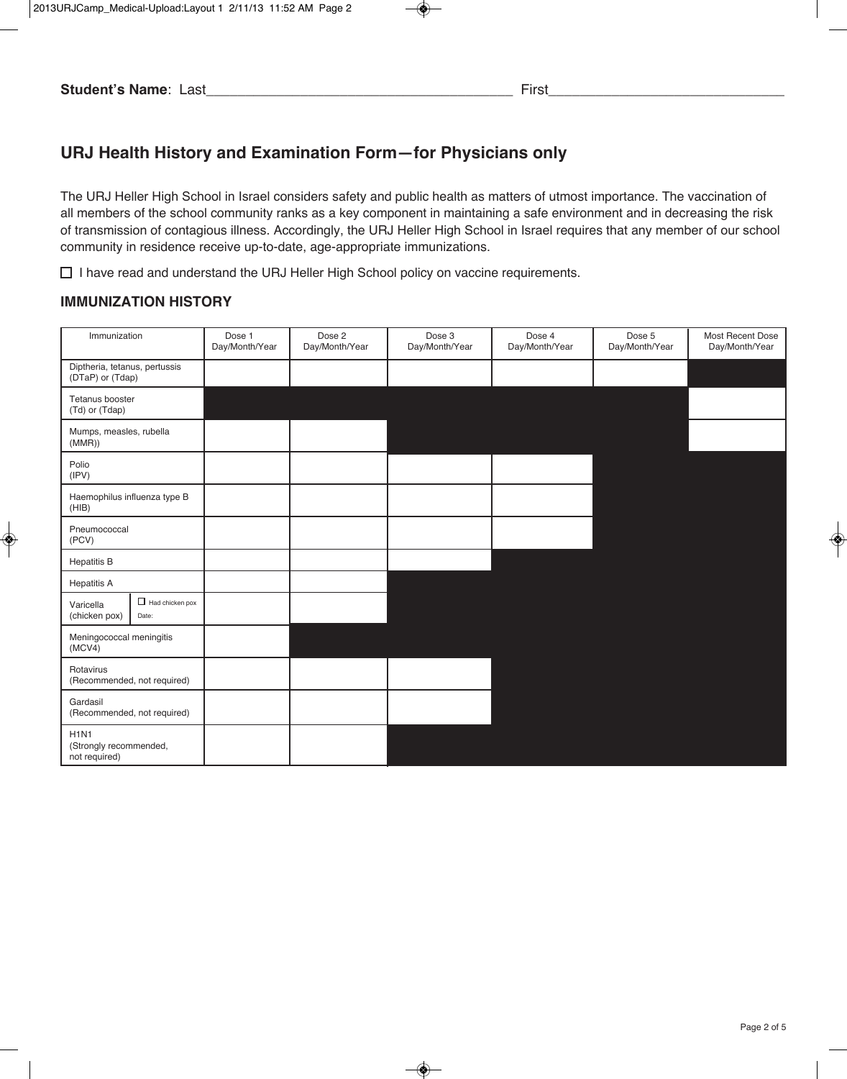# **URJ Health History and Examination Form—for Physicians only**

The URJ Heller High School in Israel considers safety and public health as matters of utmost importance. The vaccination of all members of the school community ranks as a key component in maintaining a safe environment and in decreasing the risk of transmission of contagious illness. Accordingly, the URJ Heller High School in Israel requires that any member of our school community in residence receive up-to-date, age-appropriate immunizations.

 $\Box$  I have read and understand the URJ Heller High School policy on vaccine requirements.

#### **iMMUNizatioN HiStoRy**

| Immunization                                           |                                 | Dose 1<br>Day/Month/Year | Dose 2<br>Day/Month/Year | Dose 3<br>Day/Month/Year | Dose 4<br>Day/Month/Year | Dose 5<br>Day/Month/Year | Most Recent Dose<br>Day/Month/Year |
|--------------------------------------------------------|---------------------------------|--------------------------|--------------------------|--------------------------|--------------------------|--------------------------|------------------------------------|
| Diptheria, tetanus, pertussis<br>(DTaP) or (Tdap)      |                                 |                          |                          |                          |                          |                          |                                    |
| Tetanus booster<br>(Td) or (Tdap)                      |                                 |                          |                          |                          |                          |                          |                                    |
| Mumps, measles, rubella<br>(MMR))                      |                                 |                          |                          |                          |                          |                          |                                    |
| Polio<br>(IPV)                                         |                                 |                          |                          |                          |                          |                          |                                    |
| Haemophilus influenza type B<br>(HIB)                  |                                 |                          |                          |                          |                          |                          |                                    |
| Pneumococcal<br>(PCV)                                  |                                 |                          |                          |                          |                          |                          |                                    |
| <b>Hepatitis B</b>                                     |                                 |                          |                          |                          |                          |                          |                                    |
| <b>Hepatitis A</b>                                     |                                 |                          |                          |                          |                          |                          |                                    |
| Varicella<br>(chicken pox)                             | $\Box$ Had chicken pox<br>Date: |                          |                          |                          |                          |                          |                                    |
| Meningococcal meningitis<br>(MCV4)                     |                                 |                          |                          |                          |                          |                          |                                    |
| Rotavirus<br>(Recommended, not required)               |                                 |                          |                          |                          |                          |                          |                                    |
| Gardasil<br>(Recommended, not required)                |                                 |                          |                          |                          |                          |                          |                                    |
| <b>H1N1</b><br>(Strongly recommended,<br>not required) |                                 |                          |                          |                          |                          |                          |                                    |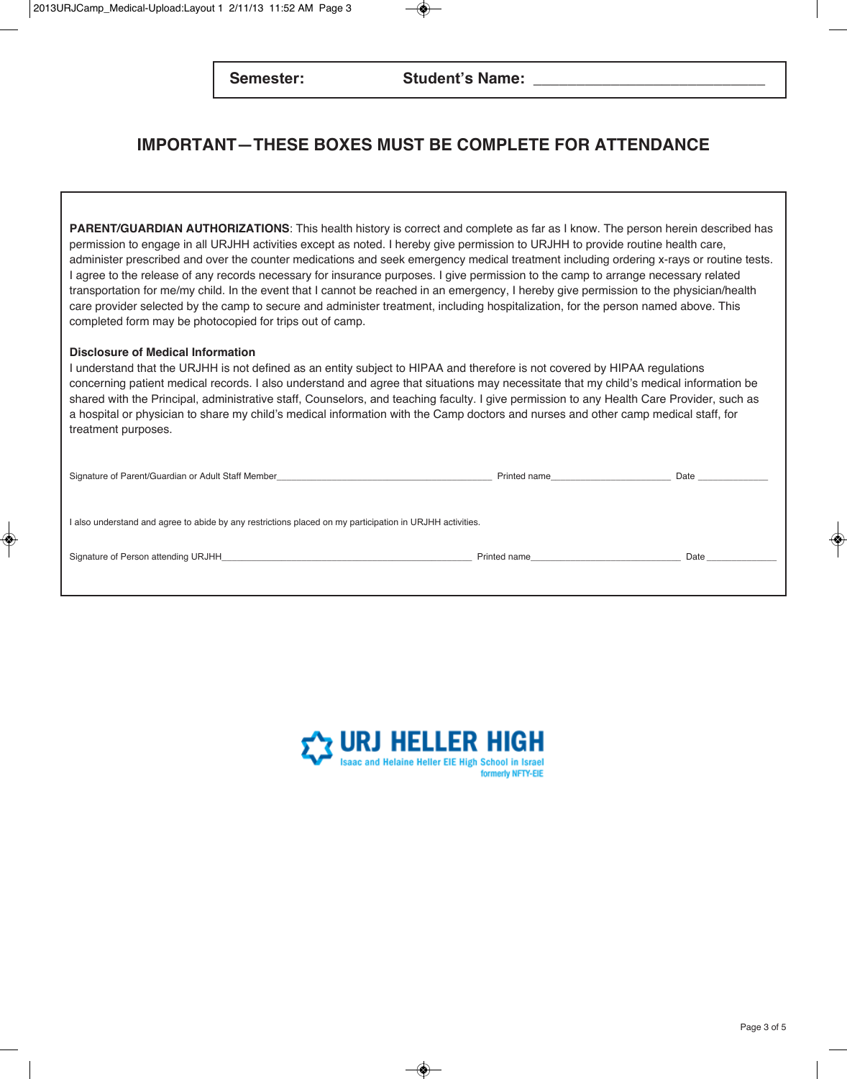## **iMPoRtaNt—tHESE BoxES MUSt BE coMPlEtE FoR attENdaNcE**

PARENT/GUARDIAN AUTHORIZATIONS: This health history is correct and complete as far as I know. The person herein described has permission to engage in all URJHH activities except as noted. I hereby give permission to URJHH to provide routine health care, administer prescribed and over the counter medications and seek emergency medical treatment including ordering x-rays or routine tests. I agree to the release of any records necessary for insurance purposes. I give permission to the camp to arrange necessary related transportation for me/my child. In the event that I cannot be reached in an emergency, I hereby give permission to the physician/health care provider selected by the camp to secure and administer treatment, including hospitalization, for the person named above. This completed form may be photocopied for trips out of camp.

#### **disclosure of Medical information**

I understand that the URJHH is not defined as an entity subject to HIPAA and therefore is not covered by HIPAA regulations concerning patient medical records. I also understand and agree that situations may necessitate that my child's medical information be shared with the Principal, administrative staff, Counselors, and teaching faculty. I give permission to any Health Care Provider, such as a hospital or physician to share my child's medical information with the Camp doctors and nurses and other camp medical staff, for treatment purposes.

| Signature of Parent/Guardian or Adult Staff Member_<br><u> 1980 - Andrea Andrews, Amerikaansk politik (* 1950)</u>                                            | Printed name | Date |
|---------------------------------------------------------------------------------------------------------------------------------------------------------------|--------------|------|
| I also understand and agree to abide by any restrictions placed on my participation in URJHH activities.                                                      |              |      |
| Signature of Person attending URJHH_<br><u> 1989 - Johann Harry Harry Harry Harry Harry Harry Harry Harry Harry Harry Harry Harry Harry Harry Harry Harry</u> | Printed name | Date |

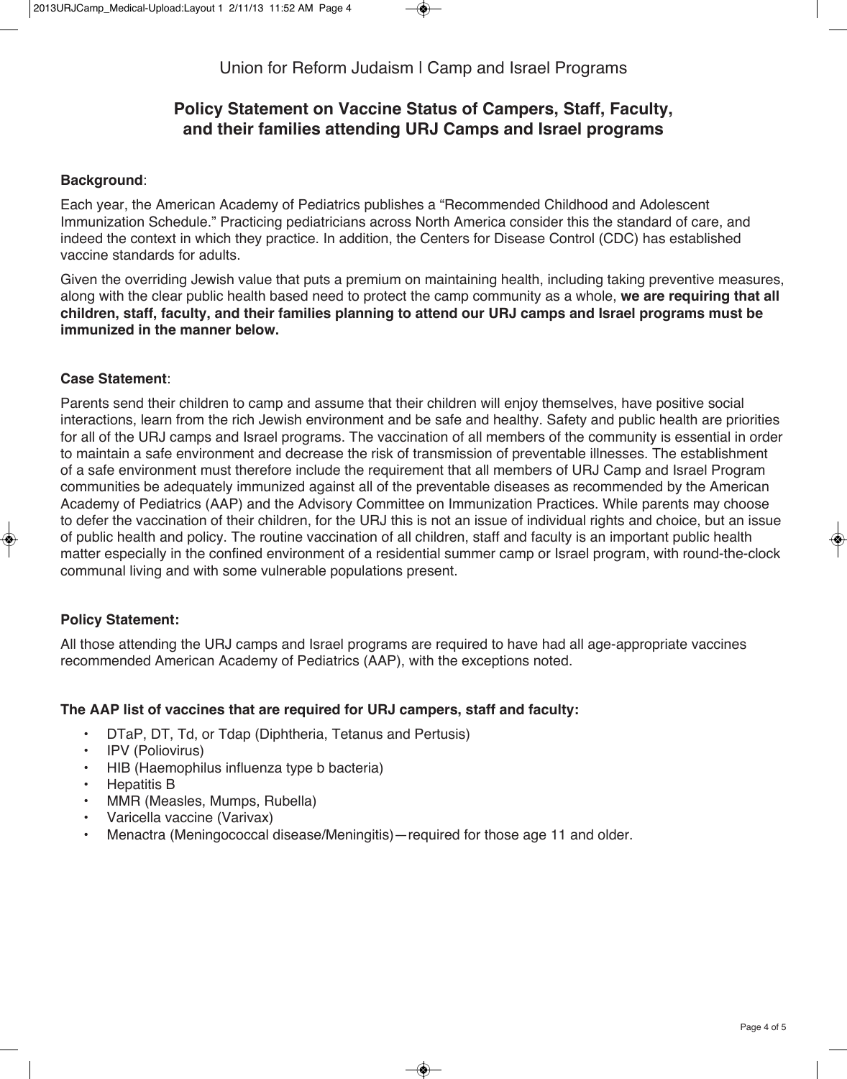## **Policy Statement on Vaccine Status of campers, Staff, Faculty, and their families attending URJ camps and israel programs**

## **Background**:

Each year, the American Academy of Pediatrics publishes a "Recommended Childhood and Adolescent Immunization Schedule." Practicing pediatricians across North America consider this the standard of care, and indeed the context in which they practice. In addition, the Centers for Disease Control (CDC) has established vaccine standards for adults.

Given the overriding Jewish value that puts a premium on maintaining health, including taking preventive measures, along with the clear public health based need to protect the camp community as a whole, **we are requiring that all children, staff, faculty, and their families planning to attend our URJ camps and israel programs must be immunized in the manner below.** 

## **case Statement**:

Parents send their children to camp and assume that their children will enjoy themselves, have positive social interactions, learn from the rich Jewish environment and be safe and healthy. Safety and public health are priorities for all of the URJ camps and Israel programs. The vaccination of all members of the community is essential in order to maintain a safe environment and decrease the risk of transmission of preventable illnesses. The establishment of a safe environment must therefore include the requirement that all members of URJ Camp and Israel Program communities be adequately immunized against all of the preventable diseases as recommended by the American Academy of Pediatrics (AAP) and the Advisory Committee on Immunization Practices. While parents may choose to defer the vaccination of their children, for the URJ this is not an issue of individual rights and choice, but an issue of public health and policy. The routine vaccination of all children, staff and faculty is an important public health matter especially in the confined environment of a residential summer camp or Israel program, with round-the-clock communal living and with some vulnerable populations present.

## **Policy Statement:**

All those attending the URJ camps and Israel programs are required to have had all age-appropriate vaccines recommended American Academy of Pediatrics (AAP), with the exceptions noted.

## **the aaP list of vaccines that are required for URJ campers, staff and faculty:**

- DTaP, DT, Td, or Tdap (Diphtheria, Tetanus and Pertusis)
- IPV (Poliovirus)
- HIB (Haemophilus influenza type b bacteria)
- Hepatitis B
- MMR (Measles, Mumps, Rubella)
- Varicella vaccine (Varivax)
- Menactra (Meningococcal disease/Meningitis)—required for those age 11 and older.